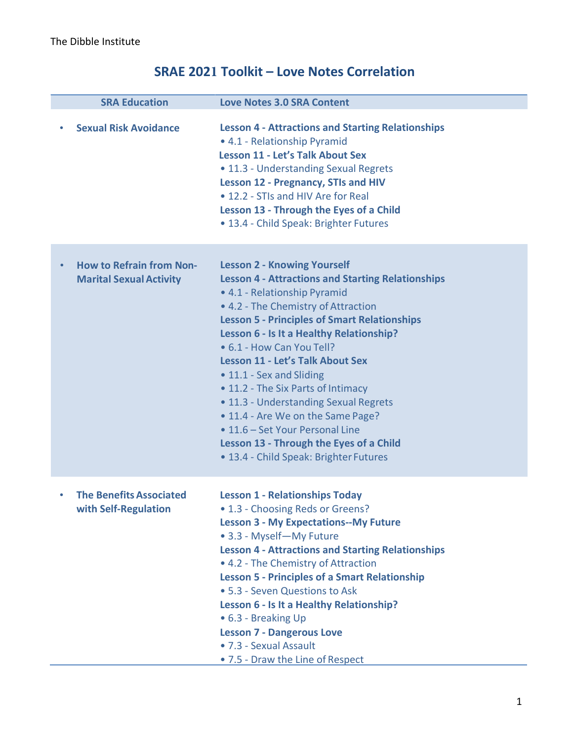# **SRAE 2021 Toolkit – Love Notes Correlation**

| <b>SRA Education</b>                                              | <b>Love Notes 3.0 SRA Content</b>                                                                                                                                                                                                                                                                                                                                                                                                                                                                                                                                                                                        |
|-------------------------------------------------------------------|--------------------------------------------------------------------------------------------------------------------------------------------------------------------------------------------------------------------------------------------------------------------------------------------------------------------------------------------------------------------------------------------------------------------------------------------------------------------------------------------------------------------------------------------------------------------------------------------------------------------------|
| <b>Sexual Risk Avoidance</b>                                      | <b>Lesson 4 - Attractions and Starting Relationships</b><br>• 4.1 - Relationship Pyramid<br><b>Lesson 11 - Let's Talk About Sex</b><br>• 11.3 - Understanding Sexual Regrets<br><b>Lesson 12 - Pregnancy, STIs and HIV</b><br>• 12.2 - STIs and HIV Are for Real<br>Lesson 13 - Through the Eyes of a Child<br>• 13.4 - Child Speak: Brighter Futures                                                                                                                                                                                                                                                                    |
| <b>How to Refrain from Non-</b><br><b>Marital Sexual Activity</b> | <b>Lesson 2 - Knowing Yourself</b><br><b>Lesson 4 - Attractions and Starting Relationships</b><br>• 4.1 - Relationship Pyramid<br>• 4.2 - The Chemistry of Attraction<br><b>Lesson 5 - Principles of Smart Relationships</b><br>Lesson 6 - Is It a Healthy Relationship?<br>• 6.1 - How Can You Tell?<br><b>Lesson 11 - Let's Talk About Sex</b><br>• 11.1 - Sex and Sliding<br>• 11.2 - The Six Parts of Intimacy<br>• 11.3 - Understanding Sexual Regrets<br>• 11.4 - Are We on the Same Page?<br>• 11.6 - Set Your Personal Line<br>Lesson 13 - Through the Eyes of a Child<br>• 13.4 - Child Speak: Brighter Futures |
| <b>The Benefits Associated</b><br>with Self-Regulation            | <b>Lesson 1 - Relationships Today</b><br>• 1.3 - Choosing Reds or Greens?<br><b>Lesson 3 - My Expectations--My Future</b><br>• 3.3 - Myself-My Future<br><b>Lesson 4 - Attractions and Starting Relationships</b><br>• 4.2 - The Chemistry of Attraction<br><b>Lesson 5 - Principles of a Smart Relationship</b><br>• 5.3 - Seven Questions to Ask<br>Lesson 6 - Is It a Healthy Relationship?<br>• 6.3 - Breaking Up<br><b>Lesson 7 - Dangerous Love</b><br>• 7.3 - Sexual Assault<br>• 7.5 - Draw the Line of Respect                                                                                                  |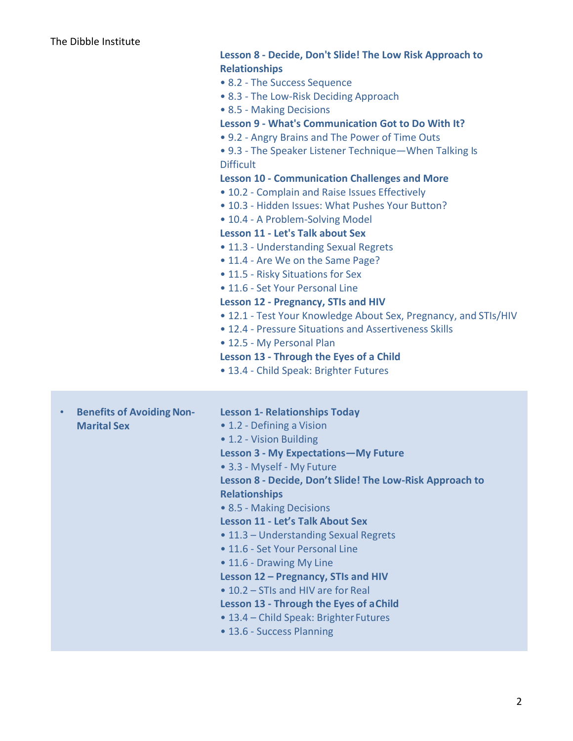|           |                                                        | <b>Relationships</b><br>• 8.2 - The Success Sequence<br>• 8.3 - The Low-Risk Deciding Approach<br>• 8.5 - Making Decisions<br>Lesson 9 - What's Communication Got to Do With It?<br>• 9.2 - Angry Brains and The Power of Time Outs<br>• 9.3 - The Speaker Listener Technique - When Talking Is<br><b>Difficult</b><br><b>Lesson 10 - Communication Challenges and More</b><br>• 10.2 - Complain and Raise Issues Effectively<br>• 10.3 - Hidden Issues: What Pushes Your Button?<br>• 10.4 - A Problem-Solving Model<br><b>Lesson 11 - Let's Talk about Sex</b><br>• 11.3 - Understanding Sexual Regrets<br>• 11.4 - Are We on the Same Page?<br>• 11.5 - Risky Situations for Sex<br>• 11.6 - Set Your Personal Line<br><b>Lesson 12 - Pregnancy, STIs and HIV</b><br>• 12.1 - Test Your Knowledge About Sex, Pregnancy, and STIs/HIV<br>• 12.4 - Pressure Situations and Assertiveness Skills<br>• 12.5 - My Personal Plan |
|-----------|--------------------------------------------------------|-------------------------------------------------------------------------------------------------------------------------------------------------------------------------------------------------------------------------------------------------------------------------------------------------------------------------------------------------------------------------------------------------------------------------------------------------------------------------------------------------------------------------------------------------------------------------------------------------------------------------------------------------------------------------------------------------------------------------------------------------------------------------------------------------------------------------------------------------------------------------------------------------------------------------------|
|           |                                                        | Lesson 13 - Through the Eyes of a Child<br>• 13.4 - Child Speak: Brighter Futures                                                                                                                                                                                                                                                                                                                                                                                                                                                                                                                                                                                                                                                                                                                                                                                                                                             |
| $\bullet$ | <b>Benefits of Avoiding Non-</b><br><b>Marital Sex</b> | <b>Lesson 1- Relationships Today</b><br>• 1.2 - Defining a Vision<br>• 1.2 - Vision Building<br><b>Lesson 3 - My Expectations-My Future</b><br>• 3.3 - Myself - My Future<br>Lesson 8 - Decide, Don't Slide! The Low-Risk Approach to<br><b>Relationships</b><br>• 8.5 - Making Decisions<br><b>Lesson 11 - Let's Talk About Sex</b><br>• 11.3 - Understanding Sexual Regrets<br>• 11.6 - Set Your Personal Line<br>• 11.6 - Drawing My Line<br>Lesson 12 - Pregnancy, STIs and HIV<br>• 10.2 – STIs and HIV are for Real<br>Lesson 13 - Through the Eyes of a Child<br>• 13.4 - Child Speak: Brighter Futures<br>• 13.6 - Success Planning                                                                                                                                                                                                                                                                                   |

**Lesson 8 - Decide, Don't Slide! The Low Risk Approach to**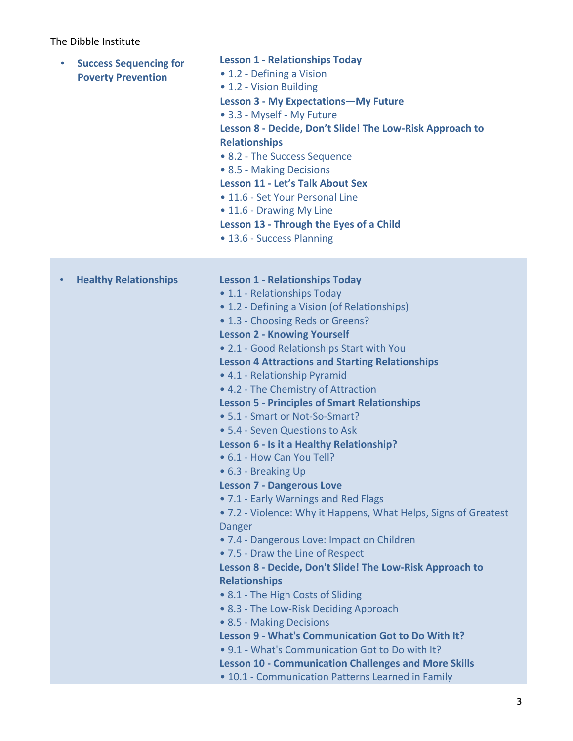| $\bullet$ | <b>Success Sequencing for</b><br><b>Poverty Prevention</b> | <b>Lesson 1 - Relationships Today</b><br>• 1.2 - Defining a Vision<br>• 1.2 - Vision Building<br><b>Lesson 3 - My Expectations-My Future</b><br>• 3.3 - Myself - My Future<br>Lesson 8 - Decide, Don't Slide! The Low-Risk Approach to<br><b>Relationships</b><br>• 8.2 - The Success Sequence<br>• 8.5 - Making Decisions<br><b>Lesson 11 - Let's Talk About Sex</b><br>• 11.6 - Set Your Personal Line<br>• 11.6 - Drawing My Line<br>Lesson 13 - Through the Eyes of a Child<br>• 13.6 - Success Planning                                                                                                                                                                                                                                                                                                                                                                                                                                                                                                                                                                                                                                                                                                                                                                   |
|-----------|------------------------------------------------------------|--------------------------------------------------------------------------------------------------------------------------------------------------------------------------------------------------------------------------------------------------------------------------------------------------------------------------------------------------------------------------------------------------------------------------------------------------------------------------------------------------------------------------------------------------------------------------------------------------------------------------------------------------------------------------------------------------------------------------------------------------------------------------------------------------------------------------------------------------------------------------------------------------------------------------------------------------------------------------------------------------------------------------------------------------------------------------------------------------------------------------------------------------------------------------------------------------------------------------------------------------------------------------------|
|           | <b>Healthy Relationships</b>                               | <b>Lesson 1 - Relationships Today</b><br>• 1.1 - Relationships Today<br>• 1.2 - Defining a Vision (of Relationships)<br>• 1.3 - Choosing Reds or Greens?<br><b>Lesson 2 - Knowing Yourself</b><br>• 2.1 - Good Relationships Start with You<br><b>Lesson 4 Attractions and Starting Relationships</b><br>• 4.1 - Relationship Pyramid<br>• 4.2 - The Chemistry of Attraction<br><b>Lesson 5 - Principles of Smart Relationships</b><br>• 5.1 - Smart or Not-So-Smart?<br>• 5.4 - Seven Questions to Ask<br>Lesson 6 - Is it a Healthy Relationship?<br>• 6.1 - How Can You Tell?<br>• 6.3 - Breaking Up<br><b>Lesson 7 - Dangerous Love</b><br>• 7.1 - Early Warnings and Red Flags<br>• 7.2 - Violence: Why it Happens, What Helps, Signs of Greatest<br>Danger<br>. 7.4 - Dangerous Love: Impact on Children<br>• 7.5 - Draw the Line of Respect<br>Lesson 8 - Decide, Don't Slide! The Low-Risk Approach to<br><b>Relationships</b><br>• 8.1 - The High Costs of Sliding<br>• 8.3 - The Low-Risk Deciding Approach<br>• 8.5 - Making Decisions<br>Lesson 9 - What's Communication Got to Do With It?<br>• 9.1 - What's Communication Got to Do with It?<br><b>Lesson 10 - Communication Challenges and More Skills</b><br>• 10.1 - Communication Patterns Learned in Family |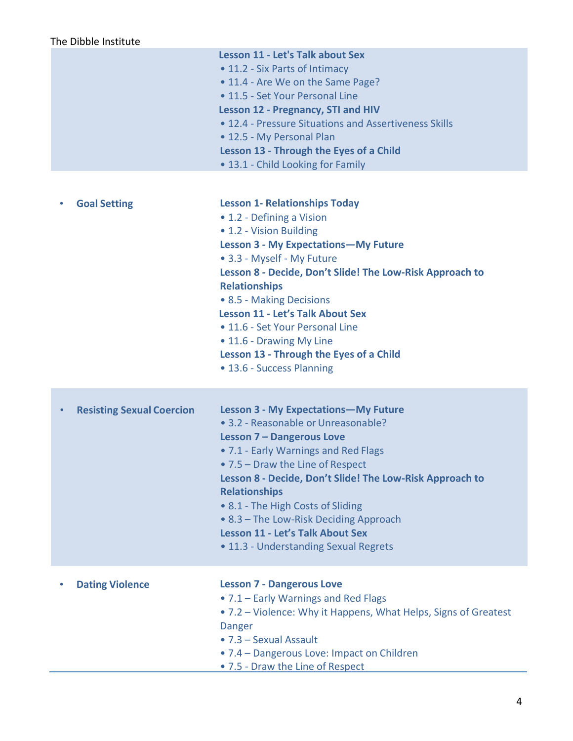| The Dibble Institute             |                                                                                                                                                                                                                                                                                                                                                                                                                                                                             |  |  |
|----------------------------------|-----------------------------------------------------------------------------------------------------------------------------------------------------------------------------------------------------------------------------------------------------------------------------------------------------------------------------------------------------------------------------------------------------------------------------------------------------------------------------|--|--|
|                                  | <b>Lesson 11 - Let's Talk about Sex</b><br>• 11.2 - Six Parts of Intimacy<br>• 11.4 - Are We on the Same Page?<br>• 11.5 - Set Your Personal Line<br><b>Lesson 12 - Pregnancy, STI and HIV</b><br>• 12.4 - Pressure Situations and Assertiveness Skills<br>• 12.5 - My Personal Plan<br>Lesson 13 - Through the Eyes of a Child<br>• 13.1 - Child Looking for Family                                                                                                        |  |  |
| <b>Goal Setting</b>              | <b>Lesson 1- Relationships Today</b><br>• 1.2 - Defining a Vision<br>• 1.2 - Vision Building<br><b>Lesson 3 - My Expectations-My Future</b><br>• 3.3 - Myself - My Future<br>Lesson 8 - Decide, Don't Slide! The Low-Risk Approach to<br><b>Relationships</b><br>• 8.5 - Making Decisions<br><b>Lesson 11 - Let's Talk About Sex</b><br>• 11.6 - Set Your Personal Line<br>• 11.6 - Drawing My Line<br>Lesson 13 - Through the Eyes of a Child<br>• 13.6 - Success Planning |  |  |
| <b>Resisting Sexual Coercion</b> | <b>Lesson 3 - My Expectations-My Future</b><br>• 3.2 - Reasonable or Unreasonable?<br><b>Lesson 7 - Dangerous Love</b><br>• 7.1 - Early Warnings and Red Flags<br>• 7.5 – Draw the Line of Respect<br>Lesson 8 - Decide, Don't Slide! The Low-Risk Approach to<br><b>Relationships</b><br>• 8.1 - The High Costs of Sliding<br>• 8.3 – The Low-Risk Deciding Approach<br><b>Lesson 11 - Let's Talk About Sex</b><br>• 11.3 - Understanding Sexual Regrets                   |  |  |
| <b>Dating Violence</b>           | <b>Lesson 7 - Dangerous Love</b><br>• 7.1 – Early Warnings and Red Flags<br>• 7.2 – Violence: Why it Happens, What Helps, Signs of Greatest<br>Danger<br>• 7.3 - Sexual Assault<br>• 7.4 – Dangerous Love: Impact on Children<br>• 7.5 - Draw the Line of Respect                                                                                                                                                                                                           |  |  |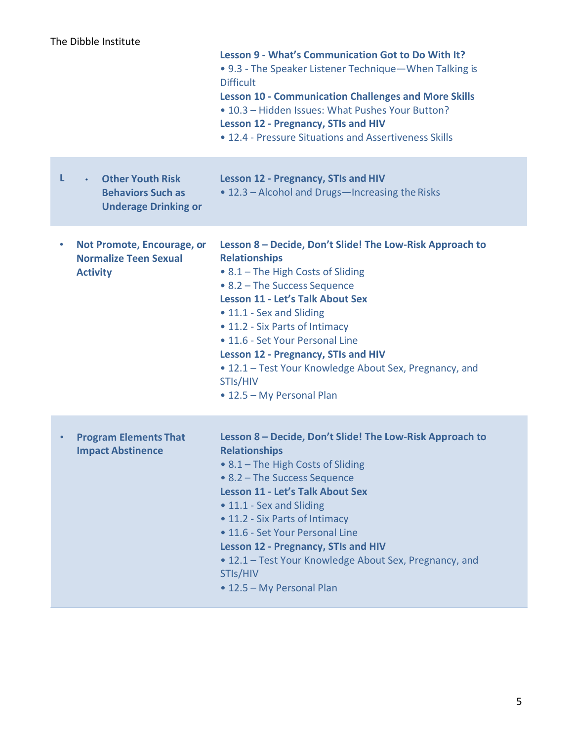|   |                                                                                                 | Lesson 9 - What's Communication Got to Do With It?<br>• 9.3 - The Speaker Listener Technique - When Talking is<br><b>Difficult</b><br><b>Lesson 10 - Communication Challenges and More Skills</b><br>. 10.3 - Hidden Issues: What Pushes Your Button?<br><b>Lesson 12 - Pregnancy, STIs and HIV</b><br>• 12.4 - Pressure Situations and Assertiveness Skills                                                                                       |
|---|-------------------------------------------------------------------------------------------------|----------------------------------------------------------------------------------------------------------------------------------------------------------------------------------------------------------------------------------------------------------------------------------------------------------------------------------------------------------------------------------------------------------------------------------------------------|
| L | <b>Other Youth Risk</b><br>$\bullet$<br><b>Behaviors Such as</b><br><b>Underage Drinking or</b> | <b>Lesson 12 - Pregnancy, STIs and HIV</b><br>• 12.3 - Alcohol and Drugs-Increasing the Risks                                                                                                                                                                                                                                                                                                                                                      |
| ٠ | Not Promote, Encourage, or<br><b>Normalize Teen Sexual</b><br><b>Activity</b>                   | Lesson 8 - Decide, Don't Slide! The Low-Risk Approach to<br><b>Relationships</b><br>• 8.1 - The High Costs of Sliding<br>• 8.2 – The Success Sequence<br><b>Lesson 11 - Let's Talk About Sex</b><br>• 11.1 - Sex and Sliding<br>• 11.2 - Six Parts of Intimacy<br>• 11.6 - Set Your Personal Line<br><b>Lesson 12 - Pregnancy, STIs and HIV</b><br>• 12.1 - Test Your Knowledge About Sex, Pregnancy, and<br>STIs/HIV<br>• 12.5 - My Personal Plan |
|   | <b>Program Elements That</b><br><b>Impact Abstinence</b>                                        | Lesson 8 - Decide, Don't Slide! The Low-Risk Approach to<br><b>Relationships</b><br>• 8.1 - The High Costs of Sliding<br>• 8.2 – The Success Sequence<br><b>Lesson 11 - Let's Talk About Sex</b><br>• 11.1 - Sex and Sliding<br>• 11.2 - Six Parts of Intimacy<br>• 11.6 - Set Your Personal Line<br><b>Lesson 12 - Pregnancy, STIs and HIV</b><br>• 12.1 – Test Your Knowledge About Sex, Pregnancy, and<br>STIs/HIV<br>• 12.5 - My Personal Plan |
|   |                                                                                                 |                                                                                                                                                                                                                                                                                                                                                                                                                                                    |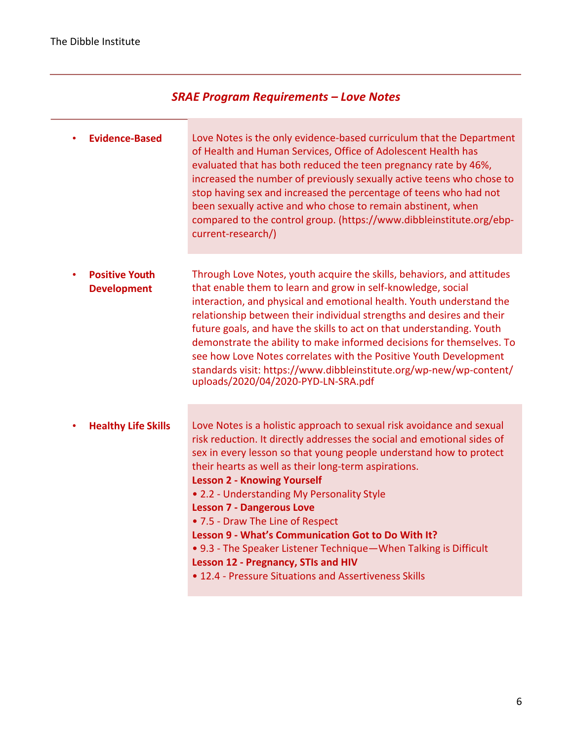## *SRAE Program Requirements – Love Notes*

n a

| <b>Evidence-Based</b>                       | Love Notes is the only evidence-based curriculum that the Department<br>of Health and Human Services, Office of Adolescent Health has<br>evaluated that has both reduced the teen pregnancy rate by 46%,<br>increased the number of previously sexually active teens who chose to<br>stop having sex and increased the percentage of teens who had not<br>been sexually active and who chose to remain abstinent, when<br>compared to the control group. (https://www.dibbleinstitute.org/ebp-<br>current-research/)                                                                                                                                                          |
|---------------------------------------------|-------------------------------------------------------------------------------------------------------------------------------------------------------------------------------------------------------------------------------------------------------------------------------------------------------------------------------------------------------------------------------------------------------------------------------------------------------------------------------------------------------------------------------------------------------------------------------------------------------------------------------------------------------------------------------|
| <b>Positive Youth</b><br><b>Development</b> | Through Love Notes, youth acquire the skills, behaviors, and attitudes<br>that enable them to learn and grow in self-knowledge, social<br>interaction, and physical and emotional health. Youth understand the<br>relationship between their individual strengths and desires and their<br>future goals, and have the skills to act on that understanding. Youth<br>demonstrate the ability to make informed decisions for themselves. To<br>see how Love Notes correlates with the Positive Youth Development<br>standards visit: https://www.dibbleinstitute.org/wp-new/wp-content/<br>uploads/2020/04/2020-PYD-LN-SRA.pdf                                                  |
| <b>Healthy Life Skills</b>                  | Love Notes is a holistic approach to sexual risk avoidance and sexual<br>risk reduction. It directly addresses the social and emotional sides of<br>sex in every lesson so that young people understand how to protect<br>their hearts as well as their long-term aspirations.<br><b>Lesson 2 - Knowing Yourself</b><br>• 2.2 - Understanding My Personality Style<br><b>Lesson 7 - Dangerous Love</b><br>• 7.5 - Draw The Line of Respect<br>Lesson 9 - What's Communication Got to Do With It?<br>• 9.3 - The Speaker Listener Technique - When Talking is Difficult<br><b>Lesson 12 - Pregnancy, STIs and HIV</b><br>• 12.4 - Pressure Situations and Assertiveness Skills |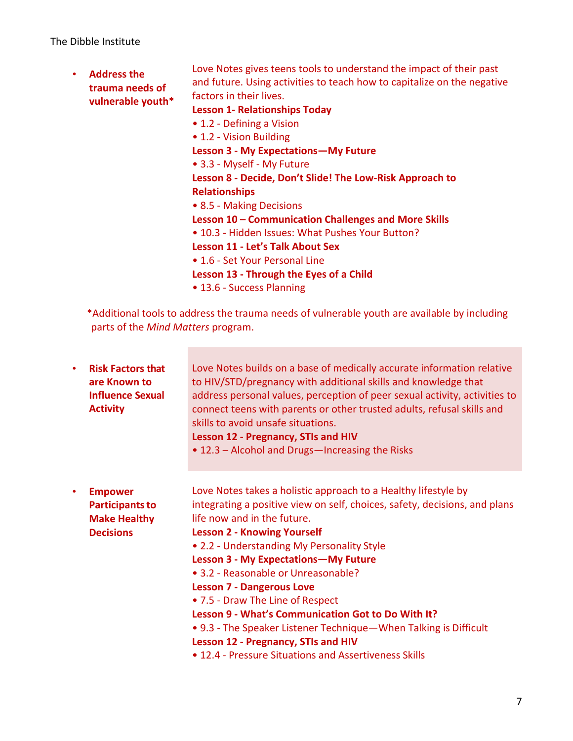|  | <b>Address the</b><br>trauma needs of<br>vulnerable youth* | Love Notes gives teens tools to understand the impact of their past<br>and future. Using activities to teach how to capitalize on the negative |
|--|------------------------------------------------------------|------------------------------------------------------------------------------------------------------------------------------------------------|
|  |                                                            | factors in their lives.                                                                                                                        |
|  |                                                            | <b>Lesson 1- Relationships Today</b>                                                                                                           |
|  |                                                            | • 1.2 - Defining a Vision                                                                                                                      |
|  |                                                            | • 1.2 - Vision Building                                                                                                                        |
|  |                                                            | <b>Lesson 3 - My Expectations - My Future</b>                                                                                                  |
|  |                                                            | • 3.3 - Myself - My Future                                                                                                                     |
|  |                                                            | Lesson 8 - Decide, Don't Slide! The Low-Risk Approach to                                                                                       |
|  |                                                            | <b>Relationships</b>                                                                                                                           |
|  |                                                            | • 8.5 - Making Decisions                                                                                                                       |
|  |                                                            | Lesson 10 – Communication Challenges and More Skills                                                                                           |
|  |                                                            | • 10.3 - Hidden Issues: What Pushes Your Button?                                                                                               |
|  |                                                            | <b>Lesson 11 - Let's Talk About Sex</b>                                                                                                        |
|  |                                                            | • 1.6 - Set Your Personal Line                                                                                                                 |
|  |                                                            | Lesson 13 - Through the Eyes of a Child                                                                                                        |
|  |                                                            | • 13.6 - Success Planning                                                                                                                      |
|  | parts of the Mind Matters program.                         | *Additional tools to address the trauma needs of vulnerable youth are available by including                                                   |

 $\mathcal{L}^{\text{max}}_{\text{max}}$  and  $\mathcal{L}^{\text{max}}_{\text{max}}$ 

| $\bullet$ | <b>Risk Factors that</b><br>are Known to<br><b>Influence Sexual</b><br><b>Activity</b> | Love Notes builds on a base of medically accurate information relative<br>to HIV/STD/pregnancy with additional skills and knowledge that<br>address personal values, perception of peer sexual activity, activities to<br>connect teens with parents or other trusted adults, refusal skills and<br>skills to avoid unsafe situations.<br><b>Lesson 12 - Pregnancy, STIs and HIV</b><br>• 12.3 – Alcohol and Drugs—Increasing the Risks                                                                                                                                                                                                                            |
|-----------|----------------------------------------------------------------------------------------|--------------------------------------------------------------------------------------------------------------------------------------------------------------------------------------------------------------------------------------------------------------------------------------------------------------------------------------------------------------------------------------------------------------------------------------------------------------------------------------------------------------------------------------------------------------------------------------------------------------------------------------------------------------------|
| ٠         | <b>Empower</b><br><b>Participants to</b><br><b>Make Healthy</b><br><b>Decisions</b>    | Love Notes takes a holistic approach to a Healthy lifestyle by<br>integrating a positive view on self, choices, safety, decisions, and plans<br>life now and in the future.<br><b>Lesson 2 - Knowing Yourself</b><br>• 2.2 - Understanding My Personality Style<br><b>Lesson 3 - My Expectations - My Future</b><br>• 3.2 - Reasonable or Unreasonable?<br><b>Lesson 7 - Dangerous Love</b><br>• 7.5 - Draw The Line of Respect<br>Lesson 9 - What's Communication Got to Do With It?<br>• 9.3 - The Speaker Listener Technique - When Talking is Difficult<br><b>Lesson 12 - Pregnancy, STIs and HIV</b><br>• 12.4 - Pressure Situations and Assertiveness Skills |